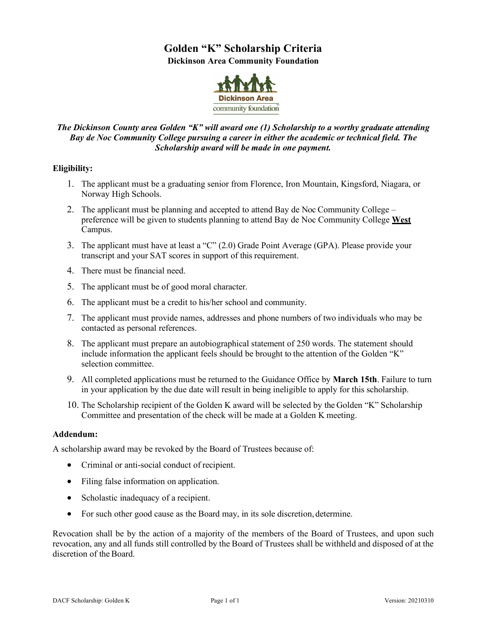## **Golden "K" Scholarship Criteria Dickinson Area Community Foundation**



## *The Dickinson County area Golden "K" will award one (1) Scholarship to a worthy graduate attending Bay de Noc Community College pursuing a career in either the academic or technical field. The Scholarship award will be made in one payment.*

## **Eligibility:**

- 1. The applicant must be a graduating senior from Florence, Iron Mountain, Kingsford, Niagara, or Norway High Schools.
- 2. The applicant must be planning and accepted to attend Bay de Noc Community College preference will be given to students planning to attend Bay de Noc Community College **West** Campus.
- 3. The applicant must have at least a "C" (2.0) Grade Point Average (GPA). Please provide your transcript and your SAT scores in support of this requirement.
- 4. There must be financial need.
- 5. The applicant must be of good moral character.
- 6. The applicant must be a credit to his/her school and community.
- 7. The applicant must provide names, addresses and phone numbers of two individuals who may be contacted as personal references.
- 8. The applicant must prepare an autobiographical statement of 250 words. The statement should include information the applicant feels should be brought to the attention of the Golden "K" selection committee.
- 9. All completed applications must be returned to the Guidance Office by **March 15th**. Failure to turn in your application by the due date will result in being ineligible to apply for this scholarship.
- 10. The Scholarship recipient of the Golden K award will be selected by the Golden "K" Scholarship Committee and presentation of the check will be made at a Golden K meeting.

## **Addendum:**

A scholarship award may be revoked by the Board of Trustees because of:

- Criminal or anti-social conduct of recipient.
- Filing false information on application.
- Scholastic inadequacy of a recipient.
- For such other good cause as the Board may, in its sole discretion, determine.

Revocation shall be by the action of a majority of the members of the Board of Trustees, and upon such revocation, any and all funds still controlled by the Board of Trustees shall be withheld and disposed of at the discretion of the Board.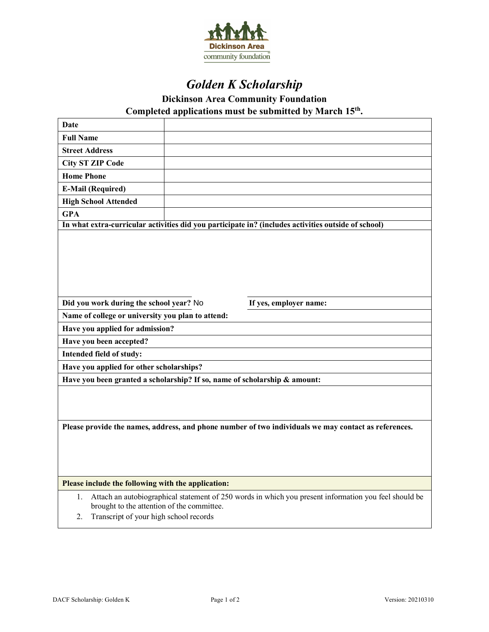

# *Golden K Scholarship*

**Dickinson Area Community Foundation** 

**Completed applications must be submitted by March 15th.**

| Date                                                                                                                                                                                                      |  |                                                                                                     |  |
|-----------------------------------------------------------------------------------------------------------------------------------------------------------------------------------------------------------|--|-----------------------------------------------------------------------------------------------------|--|
| <b>Full Name</b>                                                                                                                                                                                          |  |                                                                                                     |  |
| <b>Street Address</b>                                                                                                                                                                                     |  |                                                                                                     |  |
| <b>City ST ZIP Code</b>                                                                                                                                                                                   |  |                                                                                                     |  |
| <b>Home Phone</b>                                                                                                                                                                                         |  |                                                                                                     |  |
| <b>E-Mail (Required)</b>                                                                                                                                                                                  |  |                                                                                                     |  |
| <b>High School Attended</b>                                                                                                                                                                               |  |                                                                                                     |  |
| <b>GPA</b>                                                                                                                                                                                                |  |                                                                                                     |  |
|                                                                                                                                                                                                           |  | In what extra-curricular activities did you participate in? (includes activities outside of school) |  |
|                                                                                                                                                                                                           |  |                                                                                                     |  |
| Did you work during the school year? No                                                                                                                                                                   |  | If yes, employer name:                                                                              |  |
| Name of college or university you plan to attend:                                                                                                                                                         |  |                                                                                                     |  |
| Have you applied for admission?                                                                                                                                                                           |  |                                                                                                     |  |
| Have you been accepted?                                                                                                                                                                                   |  |                                                                                                     |  |
| Intended field of study:                                                                                                                                                                                  |  |                                                                                                     |  |
| Have you applied for other scholarships?                                                                                                                                                                  |  |                                                                                                     |  |
| Have you been granted a scholarship? If so, name of scholarship & amount:                                                                                                                                 |  |                                                                                                     |  |
|                                                                                                                                                                                                           |  |                                                                                                     |  |
| Please provide the names, address, and phone number of two individuals we may contact as references.                                                                                                      |  |                                                                                                     |  |
|                                                                                                                                                                                                           |  |                                                                                                     |  |
| Please include the following with the application:                                                                                                                                                        |  |                                                                                                     |  |
| Attach an autobiographical statement of 250 words in which you present information you feel should be<br>1.<br>brought to the attention of the committee.<br>Transcript of your high school records<br>2. |  |                                                                                                     |  |
|                                                                                                                                                                                                           |  |                                                                                                     |  |